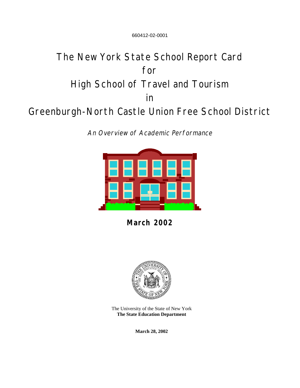660412-02-0001

# The New York State School Report Card for High School of Travel and Tourism in Greenburgh-North Castle Union Free School District

An Overview of Academic Performance



**March 2002**



The University of the State of New York **The State Education Department**

**March 28, 2002**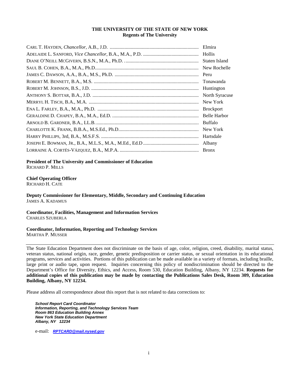#### **THE UNIVERSITY OF THE STATE OF NEW YORK Regents of The University**

| Elmira           |
|------------------|
| Hollis           |
| Staten Island    |
| New Rochelle     |
| Peru             |
| Tonawanda        |
| Huntington       |
| North Syracuse   |
| New York         |
| <b>Brockport</b> |
| Belle Harbor     |
| Buffalo          |
| New York         |
| Hartsdale        |
| Albany           |
|                  |

**President of The University and Commissioner of Education** RICHARD P. MILLS

**Chief Operating Officer**

RICHARD H. CATE

**Deputy Commissioner for Elementary, Middle, Secondary and Continuing Education** JAMES A. KADAMUS

**Coordinator, Facilities, Management and Information Services** CHARLES SZUBERLA

**Coordinator, Information, Reporting and Technology Services** MARTHA P. MUSSER

The State Education Department does not discriminate on the basis of age, color, religion, creed, disability, marital status, veteran status, national origin, race, gender, genetic predisposition or carrier status, or sexual orientation in its educational programs, services and activities. Portions of this publication can be made available in a variety of formats, including braille, large print or audio tape, upon request. Inquiries concerning this policy of nondiscrimination should be directed to the Department's Office for Diversity, Ethics, and Access, Room 530, Education Building, Albany, NY 12234. **Requests for additional copies of this publication may be made by contacting the Publications Sales Desk, Room 309, Education Building, Albany, NY 12234.**

Please address all correspondence about this report that is not related to data corrections to:

*School Report Card Coordinator Information, Reporting, and Technology Services Team Room 863 Education Building Annex New York State Education Department Albany, NY 12234*

e-mail: *[RPTCARD@mail.nysed.gov](mailto:RPTCARD@mail.nysed.gov)*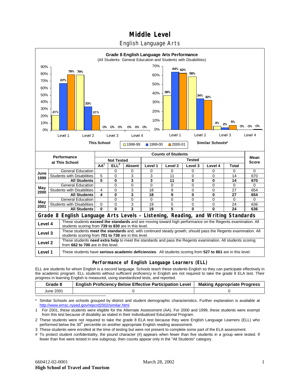# **Middle Level**

### English Language Arts



#### **Performance of English Language Learners (ELL)**

**Level 1** These students have **serious academic deficiencies**. All students scoring from **527 to 661** are in this level.

ELL are students for whom English is a second language. Schools teach these students English so they can participate effectively in the academic program. ELL students without sufficient proficiency in English are not required to take the grade 8 ELA test. Their progress in learning English is measured, using standardized tests, and reported.

| Grade 8   | <b>English Proficiency Below Effective Participation Level</b> | <b>Making Appropriate Progress</b> |
|-----------|----------------------------------------------------------------|------------------------------------|
| June 2001 |                                                                |                                    |

Similar Schools are schools grouped by district and student demographic characteristics. Further explanation is available at [http://www.emsc.nysed.gov/repcrd2002/similar.html.](http://www.emsc.nysed.gov/repcrd2002/similar.html)

1 For 2001, these students were eligible for the Alternate Assessment (AA). For 2000 and 1999, these students were exempt from this test because of disability as stated in their Individualized Educational Program.

2 These students were not required to take the grade 8 ELA test because they were English Language Learners (ELL) who performed below the 30<sup>th</sup> percentile on another appropriate English reading assessment.

3 These students were enrolled at the time of testing but were not present to complete some part of the ELA assessment.

# To protect student confidentiality, the pound character (#) appears when fewer than five students in a group were tested. If fewer than five were tested in one subgroup, then counts appear only in the "All Students" category.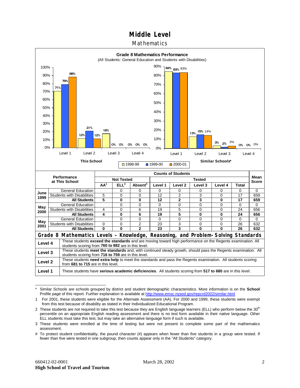# **Middle Level**

### Mathematics



Similar Schools are schools grouped by district and student demographic characteristics. More information is on the **School** Profile page of this report. Further explanation is available at <http://www.emsc.nysed.gov/repcrd2002/similar.html>

<sup>1</sup> For 2001, these students were eligible for the Alternate Assessment (AA). For 2000 and 1999, these students were exempt from this test because of disability as stated in their Individualized Educational Program.

<sup>2</sup> These students are not required to take this test because they are English language learners (ELL) who perform below the 30<sup>th</sup> percentile on an appropriate English reading assessment and there is no test form available in their native language. Other ELL students must take this test, but may take an alternative language form if such is available.

<sup>3</sup> These students were enrolled at the time of testing but were not present to complete some part of the mathematics assessment.

<sup>#</sup> To protect student confidentiality, the pound character (#) appears when fewer than five students in a group were tested. If fewer than five were tested in one subgroup, then counts appear only in the "All Students" category.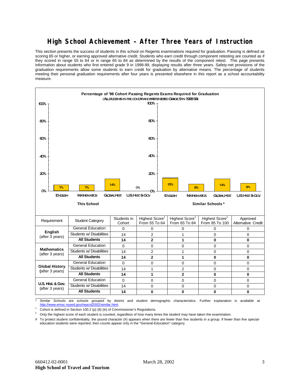## **High School Achievement – After Three Years of Instruction**

This section presents the success of students in this school on Regents examinations required for graduation. Passing is defined as scoring 65 or higher, or earning approved alternative credit. Students who earn credit through component retesting are counted as if they scored in range 55 to 64 or in range 65 to 84 as determined by the results of the component retest. This page presents information about students who first entered grade 9 in 1998-99, displaying results after three years. Safety-net provisions of the graduation requirements allow some students to earn credit for graduation by alternative means. The percentage of students meeting their personal graduation requirements after four years is presented elsewhere in this report as a school accountability measure.



Similar Schools are schools grouped by district and student demographic characteristics. Further explanation is available at ww.emsc.nysed.gov/repcrd2002/similar.html

<sup>1</sup> Cohort is defined in Section 100.2 (p) (8) (iii) of Commissioner's Regulations.<br><sup>2</sup> Cohuthe bighest eases of each student is equated, reservations of how many time

2 Only the highest score of each student is counted, regardless of how many times the student may have taken the examination.

# To protect student confidentiality, the pound character (#) appears when there are fewer than five students in a group. If fewer than five specialeducation students were reported, then counts appear only in the "General-Education" category.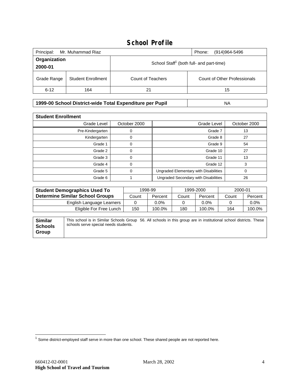# **School Profile**

| Principal:<br>Mr. Muhammad Riaz<br>Phone:<br>(914)964-5496 |                           |                                                      |                              |  |
|------------------------------------------------------------|---------------------------|------------------------------------------------------|------------------------------|--|
| Organization<br>2000-01                                    |                           | School Staff <sup>1</sup> (both full- and part-time) |                              |  |
| Grade Range                                                | <b>Student Enrollment</b> | Count of Teachers                                    | Count of Other Professionals |  |
| $6 - 12$                                                   | 164                       | 21                                                   | 15                           |  |

**1999-00 School District-wide Total Expenditure per Pupil** NA

| <b>Student Enrollment</b> |              |                                       |              |  |  |
|---------------------------|--------------|---------------------------------------|--------------|--|--|
| Grade Level               | October 2000 | Grade Level                           | October 2000 |  |  |
| Pre-Kindergarten          |              | Grade 7                               | 13           |  |  |
| Kindergarten              | 0            | Grade 8                               | 27           |  |  |
| Grade 1                   |              | Grade 9                               | 54           |  |  |
| Grade 2                   |              | Grade 10                              | 27           |  |  |
| Grade 3                   | $\Omega$     | Grade 11                              | 13           |  |  |
| Grade 4                   | 0            | Grade 12                              | 3            |  |  |
| Grade 5                   |              | Ungraded Elementary with Disabilities | 0            |  |  |
| Grade 6                   |              | Ungraded Secondary with Disabilities  | 26           |  |  |

| <b>Student Demographics Used To</b>    | 1998-99 |         | 1999-2000 |         | 2000-01 |         |
|----------------------------------------|---------|---------|-----------|---------|---------|---------|
| <b>Determine Similar School Groups</b> | Count   | Percent | Count     | Percent | Count   | Percent |
| English Language Learners              |         | $0.0\%$ |           | 0.0%    |         | $0.0\%$ |
| Eligible For Free Lunch                | 150     | 100.0%  | 180       | 100.0%  | 164     | 100.0%  |

| <b>Similar</b><br><b>Schools</b> | This school is in Similar Schools Group 56. All schools in this group are in institutional school districts. These<br>schools serve special needs students. |  |  |
|----------------------------------|-------------------------------------------------------------------------------------------------------------------------------------------------------------|--|--|
| Group                            |                                                                                                                                                             |  |  |

 $\overline{a}$ 

 $^1$  Some district-employed staff serve in more than one school. These shared people are not reported here.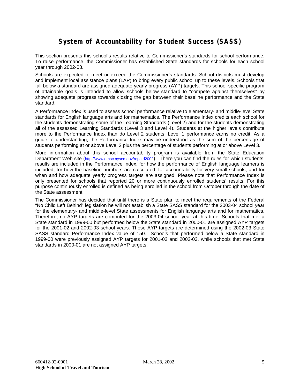# **System of Accountability for Student Success (SASS)**

This section presents this school's results relative to Commissioner's standards for school performance. To raise performance, the Commissioner has established State standards for schools for each school year through 2002-03.

Schools are expected to meet or exceed the Commissioner's standards. School districts must develop and implement local assistance plans (LAP) to bring every public school up to these levels. Schools that fall below a standard are assigned adequate yearly progress (AYP) targets. This school-specific program of attainable goals is intended to allow schools below standard to "compete against themselves" by showing adequate progress towards closing the gap between their baseline performance and the State standard.

A Performance Index is used to assess school performance relative to elementary- and middle-level State standards for English language arts and for mathematics. The Performance Index credits each school for the students demonstrating some of the Learning Standards (Level 2) and for the students demonstrating all of the assessed Learning Standards (Level 3 and Level 4). Students at the higher levels contribute more to the Performance Index than do Level 2 students. Level 1 performance earns no credit. As a guide to understanding, the Performance Index may be understood as the sum of the percentage of students performing at or above Level 2 plus the percentage of students performing at or above Level 3.

More information about this school accountability program is available from the State Education Department Web site [\(http://www.emsc.nysed.gov/repcrd2002\)](http://www.emsc.nysed.gov/repcrd2002). There you can find the rules for which students' results are included in the Performance Index, for how the performance of English language learners is included, for how the baseline numbers are calculated, for accountability for very small schools, and for when and how adequate yearly progress targets are assigned. Please note that Performance Index is only presented for schools that reported 20 or more continuously enrolled students' results. For this purpose continuously enrolled is defined as being enrolled in the school from October through the date of the State assessment.

The Commissioner has decided that until there is a State plan to meet the requirements of the Federal "No Child Left Behind" legislation he will not establish a State SASS standard for the 2003-04 school year for the elementary- and middle-level State assessments for English language arts and for mathematics. Therefore, no AYP targets are computed for the 2003-04 school year at this time. Schools that met a State standard in 1999-00 but performed below the State standard in 2000-01 are assigned AYP targets for the 2001-02 and 2002-03 school years. These AYP targets are determined using the 2002-03 State SASS standard Performance Index value of 150. Schools that performed below a State standard in 1999-00 were previously assigned AYP targets for 2001-02 and 2002-03, while schools that met State standards in 2000-01 are not assigned AYP targets.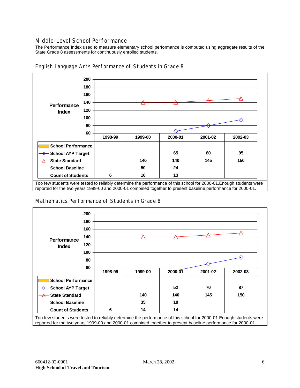#### Middle-Level School Performance

The Performance Index used to measure elementary school performance is computed using aggregate results of the State Grade 8 assessments for continuously enrolled students.



English Language Arts Performance of Students in Grade 8

reported for the two years 1999-00 and 2000-01 combined together to present baseline performance for 2000-01.

#### Mathematics Performance of Students in Grade 8



Too few students were tested to reliably determine the performance of this school for 2000-01.Enough students were reported for the two years 1999-00 and 2000-01 combined together to present baseline performance for 2000-01.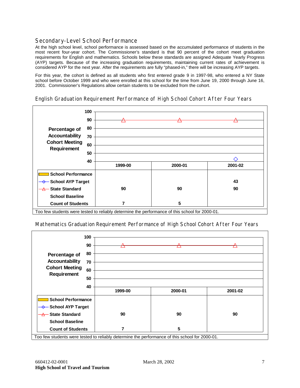### Secondary-Level School Performance

At the high school level, school performance is assessed based on the accumulated performance of students in the most recent four-year cohort. The Commissioner's standard is that 90 percent of the cohort meet graduation requirements for English and mathematics. Schools below these standards are assigned Adequate Yearly Progress (AYP) targets. Because of the increasing graduation requirements, maintaining current rates of achievement is considered AYP for the next year. After the requirements are fully "phased-in," there will be increasing AYP targets.

For this year, the cohort is defined as all students who first entered grade 9 in 1997-98, who entered a NY State school before October 1999 and who were enrolled at this school for the time from June 19, 2000 through June 16, 2001. Commissioner's Regulations allow certain students to be excluded from the cohort.





Too few students were tested to reliably determine the performance of this school for 2000-01.

Mathematics Graduation Requirement Performance of High School Cohort After Four Years